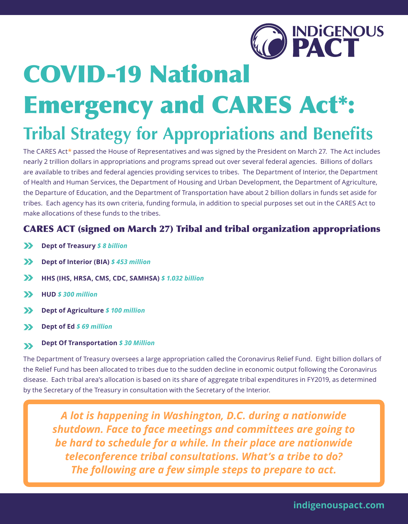

# COVID-19 National Emergency and CARES Act\*:

## **Tribal Strategy for Appropriations and Benefits**

The CARES Act**\*** passed the House of Representatives and was signed by the President on March 27. The Act includes nearly 2 trillion dollars in appropriations and programs spread out over several federal agencies. Billions of dollars are available to tribes and federal agencies providing services to tribes. The Department of Interior, the Department of Health and Human Services, the Department of Housing and Urban Development, the Department of Agriculture, the Departure of Education, and the Department of Transportation have about 2 billion dollars in funds set aside for tribes. Each agency has its own criteria, funding formula, in addition to special purposes set out in the CARES Act to make allocations of these funds to the tribes.

#### CARES ACT (signed on March 27) Tribal and tribal organization appropriations

- $\sum$ **Dept of Treasury** *\$ 8 billion*
- $\boldsymbol{\Sigma}$ **Dept of Interior (BIA)** *\$ 453 million*
- $\sum$ **HHS (IHS, HRSA, CMS, CDC, SAMHSA)** *\$ 1.032 billion*
- **HUD** *\$ 300 million*  $\sum$
- $\sum$ **Dept of Agriculture** *\$ 100 million*
- **Dept of Ed** *\$ 69 million*  $\sum$

#### **Dept Of Transportation** *\$ 30 Million*  $\mathbf{v}$

The Department of Treasury oversees a large appropriation called the Coronavirus Relief Fund. Eight billion dollars of the Relief Fund has been allocated to tribes due to the sudden decline in economic output following the Coronavirus disease. Each tribal area's allocation is based on its share of aggregate tribal expenditures in FY2019, as determined by the Secretary of the Treasury in consultation with the Secretary of the Interior.

*A lot is happening in Washington, D.C. during a nationwide shutdown. Face to face meetings and committees are going to be hard to schedule for a while. In their place are nationwide teleconference tribal consultations. What's a tribe to do? The following are a few simple steps to prepare to act.*